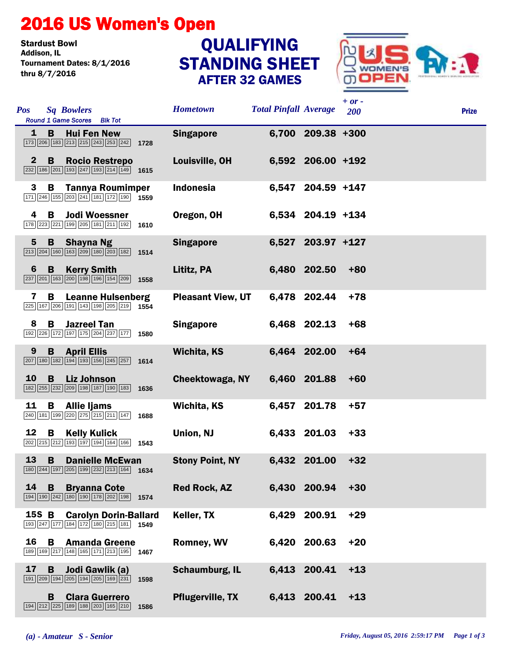## 2016 US Women's Open

Stardust Bowl<br>Addison. IL Tournament Dates: 8/1/2016 thru 8/7/2016

## STANDING SHEET AFTER 32 GAMES **QUALIFYING**



| <b>Pos</b>     | <b>Sq Bowlers</b><br>Round 1 Game Scores Blk Tot                                                                                                            |      | <b>Hometown</b>          | <b>Total Pinfall Average</b> |                   | $+ or -$<br>200 | <b>Prize</b> |
|----------------|-------------------------------------------------------------------------------------------------------------------------------------------------------------|------|--------------------------|------------------------------|-------------------|-----------------|--------------|
| 1              | <b>Hui Fen New</b><br>B.<br>173 206 183 213 215 243 253 242 1728                                                                                            |      | <b>Singapore</b>         |                              | 6,700 209.38 +300 |                 |              |
| $\mathbf{2}$   | B  <br><b>Rocio Restrepo</b><br>$\sqrt{232}\sqrt{186}\sqrt{201}\sqrt{193}\sqrt{247}\sqrt{193}\sqrt{214}\sqrt{149}$ 1615                                     |      | Louisville, OH           |                              | 6,592 206.00 +192 |                 |              |
| 3              | <b>Tannya Roumimper</b><br>B<br>$\boxed{171}$ $\boxed{246}$ $\boxed{155}$ $\boxed{203}$ $\boxed{241}$ $\boxed{181}$ $\boxed{172}$ $\boxed{190}$ <b>1559</b> |      | Indonesia                |                              | 6,547 204.59 +147 |                 |              |
| 4              | <b>Jodi Woessner</b><br>B<br>178 223 221 199 205 181 211 192 1610                                                                                           |      | Oregon, OH               |                              | 6,534 204.19 +134 |                 |              |
| $5\phantom{1}$ | B<br><b>Shayna Ng</b><br>$\boxed{213}$ $\boxed{204}$ $\boxed{160}$ $\boxed{163}$ $\boxed{209}$ $\boxed{180}$ $\boxed{203}$ $\boxed{182}$ <b>1514</b>        |      | <b>Singapore</b>         |                              | 6,527 203.97 +127 |                 |              |
| 6              | <b>Kerry Smith</b><br>$\mathbf{B}$<br>$\boxed{237}$ $\boxed{201}$ $\boxed{163}$ $\boxed{200}$ $\boxed{198}$ $\boxed{196}$ $\boxed{154}$ $\boxed{209}$ 1558  |      | Lititz, PA               |                              | 6,480 202.50      | $+80$           |              |
| 7              | B<br><b>Leanne Hulsenberg</b><br>$\boxed{225}$ 167 206 191 143 198 205 219 1554                                                                             |      | <b>Pleasant View, UT</b> |                              | 6,478 202.44      | $+78$           |              |
| 8              | <b>Jazreel Tan</b><br>B.<br>192 226 172 197 175 204 237 177 1580                                                                                            |      | <b>Singapore</b>         |                              | 6,468 202.13      | $+68$           |              |
| 9              | <b>B</b> April Ellis<br>$\boxed{207}$ 180 182 194 193 156 245 257 1614                                                                                      |      | <b>Wichita, KS</b>       |                              | 6,464 202.00      | $+64$           |              |
| <b>10</b>      | B<br><b>Liz Johnson</b><br>$\boxed{182}\boxed{255}\boxed{232}\boxed{209}\boxed{198}\boxed{187}\boxed{190}\boxed{183}$ 1636                                  |      | <b>Cheektowaga, NY</b>   |                              | 6,460 201.88      | $+60$           |              |
| 11             | В<br><b>Allie ljams</b><br>$\boxed{240}\boxed{181}\boxed{199}\boxed{220}\boxed{275}\boxed{215}\boxed{211}\boxed{147}$ 1688                                  |      | Wichita, KS              |                              | 6,457 201.78      | $+57$           |              |
| 12             | B<br><b>Kelly Kulick</b><br>$\boxed{202}$ $\boxed{215}$ $\boxed{212}$ $\boxed{193}$ $\boxed{197}$ $\boxed{194}$ $\boxed{164}$ $\boxed{166}$ 1543            |      | Union, NJ                |                              | 6,433 201.03      | $+33$           |              |
| 13             | <b>Danielle McEwan</b><br>B<br>180 244 197 205 199 232 213 164 1634                                                                                         |      | <b>Stony Point, NY</b>   |                              | 6,432 201.00      | $+32$           |              |
| 14             | B<br><b>Bryanna Cote</b><br>194 190 242 180 190 178 202 198 1574                                                                                            |      | <b>Red Rock, AZ</b>      |                              | 6,430 200.94      | $+30$           |              |
| 15S B          | <b>Carolyn Dorin-Ballard</b><br>193 247 177 184 172 180 215 181 1549                                                                                        |      | Keller, TX               |                              | 6,429 200.91      | $+29$           |              |
| 16             | B<br><b>Amanda Greene</b><br>189 169 217 148 165 171 213 195 1467                                                                                           |      | <b>Romney, WV</b>        |                              | 6,420 200.63      | $+20$           |              |
| 17             | Jodi Gawlik (a)<br>B<br>191 209 194 205 194 205 169 231                                                                                                     | 1598 | <b>Schaumburg, IL</b>    |                              | 6,413 200.41      | $+13$           |              |
|                | B<br><b>Clara Guerrero</b><br>194 212 225 189 188 203 165 210                                                                                               | 1586 | <b>Pflugerville, TX</b>  |                              | 6,413 200.41      | $+13$           |              |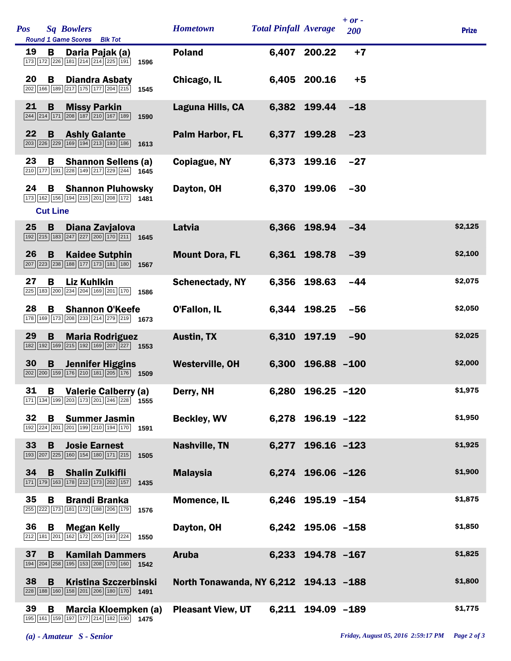| Pos |                      | <b>Sq Bowlers</b><br>Round 1 Game Scores Blk Tot                                                                   |      | <b>Hometown</b>                       | <b>Total Pinfall Average</b> |                   | $+ or -$<br>200 | <b>Prize</b> |
|-----|----------------------|--------------------------------------------------------------------------------------------------------------------|------|---------------------------------------|------------------------------|-------------------|-----------------|--------------|
| 19  | В                    | Daria Pajak (a)<br>173 172 226 181 214 214 225 191                                                                 | 1596 | <b>Poland</b>                         |                              | 6,407 200.22      | $+7$            |              |
| 20  | В                    | <b>Diandra Asbaty</b><br>202 166 189 217 175 177 204 215                                                           | 1545 | Chicago, IL                           |                              | 6,405 200.16      | $+5$            |              |
| 21  | B                    | <b>Missy Parkin</b><br>244 214 171 208 187 210 167 189                                                             | 1590 | Laguna Hills, CA                      | 6,382                        | 199.44            | $-18$           |              |
| 22  | B                    | <b>Ashly Galante</b><br>203 226 229 169 194 213 193 186 1613                                                       |      | Palm Harbor, FL                       | 6,377                        | 199.28            | $-23$           |              |
| 23  | B                    | <b>Shannon Sellens (a)</b><br>210 177 191 228 149 217 229 244 1645                                                 |      | Copiague, NY                          | 6,373                        | 199.16            | $-27$           |              |
| 24  | В<br><b>Cut Line</b> | <b>Shannon Pluhowsky</b><br>173 162 156 194 215 201 208 172 1481                                                   |      | Dayton, OH                            | 6,370                        | 199.06            | $-30$           |              |
| 25  | $\mathbf B$          | Diana Zavjalova<br>$\boxed{192}\boxed{215}\boxed{183}\boxed{247}\boxed{227}\boxed{200}\boxed{170}\boxed{211}$ 1645 |      | Latvia                                | 6,366                        | 198.94            | $-34$           | \$2,125      |
| 26  | B                    | <b>Kaidee Sutphin</b><br>207 223 238 188 177 173 181 180 1567                                                      |      | <b>Mount Dora, FL</b>                 |                              | 6,361 198.78      | $-39$           | \$2,100      |
| 27  | B                    | <b>Liz Kuhlkin</b><br>225 183 200 234 204 169 201 170                                                              | 1586 | <b>Schenectady, NY</b>                | 6,356                        | 198.63            | $-44$           | \$2,075      |
| 28  | B                    | <b>Shannon O'Keefe</b><br>178 169 173 208 233 214 279 219 1673                                                     |      | <b>O'Fallon, IL</b>                   |                              | 6,344 198.25      | $-56$           | \$2,050      |
| 29  | B                    | <b>Maria Rodriguez</b><br>182 192 169 215 192 169 207 227 1553                                                     |      | <b>Austin, TX</b>                     | 6,310                        | 197.19            | $-90$           | \$2,025      |
| 30  | B                    | <b>Jennifer Higgins</b><br>202 200 159 176 210 181 205 176 1509                                                    |      | <b>Westerville, OH</b>                | 6,300                        | $196.88 - 100$    |                 | \$2,000      |
| 31  |                      | <b>B</b> Valerie Calberry (a)<br>171 134 199 203 173 201 246 228 1555                                              |      | Derry, NH                             |                              | 6,280 196.25 -120 |                 | \$1,975      |
| 32  | В                    | <b>Summer Jasmin</b><br>192 224 201 201 199 210 194 170                                                            | 1591 | <b>Beckley, WV</b>                    |                              | 6,278 196.19 -122 |                 | \$1,950      |
| 33  | B                    | <b>Josie Earnest</b><br>193 207 225 160 154 180 171 215                                                            | 1505 | <b>Nashville, TN</b>                  |                              | 6,277 196.16 -123 |                 | \$1,925      |
| 34  | B                    | <b>Shalin Zulkifli</b><br>171 179 163 178 212 173 202 157                                                          | 1435 | <b>Malaysia</b>                       |                              | 6,274 196.06 -126 |                 | \$1,900      |
| 35  | В                    | <b>Brandi Branka</b><br>255 222 173 181 172 188 206 179                                                            | 1576 | <b>Momence, IL</b>                    |                              | 6,246 195.19 -154 |                 | \$1,875      |
| 36  | B                    | <b>Megan Kelly</b><br>212 181 201 162 172 205 193 224                                                              | 1550 | Dayton, OH                            |                              | 6,242 195.06 -158 |                 | \$1,850      |
| 37  | B                    | <b>Kamilah Dammers</b><br>194 204 258 195 153 208 170 160 1542                                                     |      | <b>Aruba</b>                          | 6,233                        | 194.78 -167       |                 | \$1,825      |
| 38  | B                    | <b>Kristina Szczerbinski</b><br>228 188 160 158 201 206 180 170 1491                                               |      | North Tonawanda, NY 6,212 194.13 -188 |                              |                   |                 | \$1,800      |
| 39  | В                    | Marcia Kloempken (a)<br>195 161 159 197 177 214 182 190 1475                                                       |      | <b>Pleasant View, UT</b>              |                              | 6,211 194.09 -189 |                 | \$1,775      |